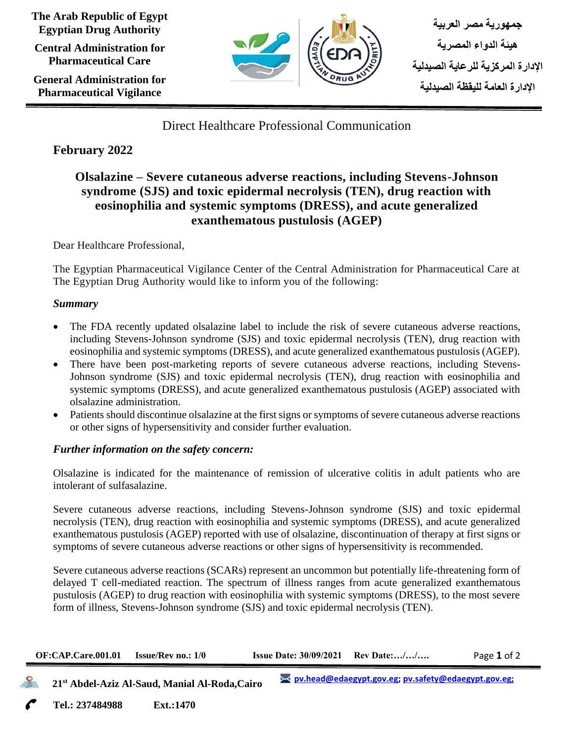**The Arab Republic of Egypt Egyptian Drug Authority**

**Central Administration for Pharmaceutical Care**

**General Administration for Pharmaceutical Vigilance**



Direct Healthcare Professional Communication

# **February 2022**

# **Olsalazine – Severe cutaneous adverse reactions, including Stevens-Johnson syndrome (SJS) and toxic epidermal necrolysis (TEN), drug reaction with eosinophilia and systemic symptoms (DRESS), and acute generalized exanthematous pustulosis (AGEP)**

Dear Healthcare Professional,

The Egyptian Pharmaceutical Vigilance Center of the Central Administration for Pharmaceutical Care at The Egyptian Drug Authority would like to inform you of the following:

### *Summary*

- The FDA recently updated olsalazine label to include the risk of severe cutaneous adverse reactions, including Stevens-Johnson syndrome (SJS) and toxic epidermal necrolysis (TEN), drug reaction with eosinophilia and systemic symptoms (DRESS), and acute generalized exanthematous pustulosis (AGEP).
- There have been post-marketing reports of severe cutaneous adverse reactions, including Stevens-Johnson syndrome (SJS) and toxic epidermal necrolysis (TEN), drug reaction with eosinophilia and systemic symptoms (DRESS), and acute generalized exanthematous pustulosis (AGEP) associated with olsalazine administration.
- Patients should discontinue olsalazine at the first signs or symptoms of severe cutaneous adverse reactions or other signs of hypersensitivity and consider further evaluation.

### *Further information on the safety concern:*

Olsalazine is indicated for the maintenance of remission of ulcerative colitis in adult patients who are intolerant of sulfasalazine.

Severe cutaneous adverse reactions, including Stevens-Johnson syndrome (SJS) and toxic epidermal necrolysis (TEN), drug reaction with eosinophilia and systemic symptoms (DRESS), and acute generalized exanthematous pustulosis (AGEP) reported with use of olsalazine, discontinuation of therapy at first signs or symptoms of severe cutaneous adverse reactions or other signs of hypersensitivity is recommended.

Severe cutaneous adverse reactions (SCARs) represent an uncommon but potentially life-threatening form of delayed T cell-mediated reaction. The spectrum of illness ranges from acute generalized exanthematous pustulosis (AGEP) to drug reaction with eosinophilia with systemic symptoms (DRESS), to the most severe form of illness, Stevens-Johnson syndrome (SJS) and toxic epidermal necrolysis (TEN).

| <b>Issue Date: <math>30/09/2021</math> Rev Date://</b><br><b>OF:CAP.Care.001.01</b> | <b>Issue/Rev no.: 1/0</b> |  |  | Page 1 of 2 |
|-------------------------------------------------------------------------------------|---------------------------|--|--|-------------|
|-------------------------------------------------------------------------------------|---------------------------|--|--|-------------|

 **21st Abdel-Aziz Al-Saud, Manial Al-Roda,Cairo**

**Tel.: 237484988 Ext.:1470 Cairo**